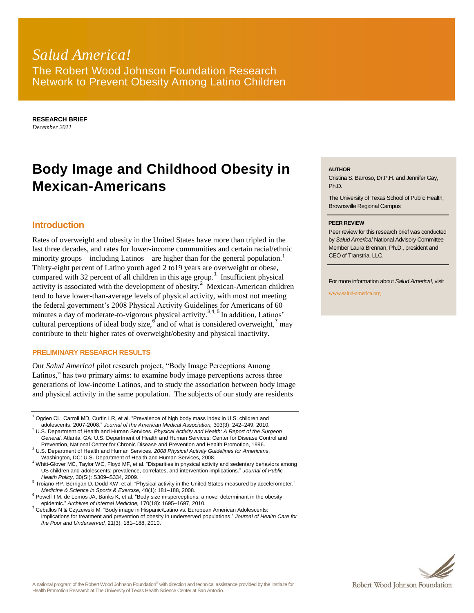## *Salud America!* The Robert Wood Johnson Foundation Research Network to Prevent Obesity Among Latino Children

**RESEARCH BRIEF** *December 2011*

# **Body Image and Childhood Obesity in Mexican-Americans**

### **Introduction**

Rates of overweight and obesity in the United States have more than tripled in the last three decades, and rates for lower-income communities and certain racial/ethnic minority groups—including Latinos—are higher than for the general population.<sup>1</sup> Thirty-eight percent of Latino youth aged 2 to19 years are overweight or obese, compared with 32 percent of all children in this age group.<sup>1</sup> Insufficient physical activity is associated with the development of obesity.<sup>2</sup> Mexican-American children tend to have lower-than-average levels of physical activity, with most not meeting the federal government's 2008 Physical Activity Guidelines for Americans of 60 minutes a day of moderate-to-vigorous physical activity.<sup>3,4, 5</sup> In addition, Latinos' cultural perceptions of ideal body size,  $6 \text{ and of what is considered overweight}$ ,  $7 \text{ may}$ contribute to their higher rates of overweight/obesity and physical inactivity.

#### **PRELIMINARY RESEARCH RESULTS**

Our *Salud America!* pilot research project, "Body Image Perceptions Among Latinos," has two primary aims: to examine body image perceptions across three generations of low-income Latinos, and to study the association between body image and physical activity in the same population. The subjects of our study are residents

<sup>1</sup> Ogden CL, Carroll MD, Curtin LR, et al. "Prevalence of high body mass index in U.S. children and adolescents, 2007-2008." *Journal of the American Medical Association,* 303(3): 242–249, 2010.

- <sup>2</sup> U.S. Department of Health and Human Services. *Physical Activity and Health: A Report of the Surgeon General*. Atlanta, GA: U.S. Department of Health and Human Services. Center for Disease Control and Prevention, National Center for Chronic Disease and Prevention and Health Promotion, 1996.
- <sup>3</sup> U.S. Department of Health and Human Services. *2008 Physical Activity Guidelines for Americans*. Washington, DC: U.S. Department of Health and Human Services, 2008.

<sup>4</sup> Whitt-Glover MC, Taylor WC, Floyd MF, et al. "Disparities in physical activity and sedentary behaviors among US children and adolescents: prevalence, correlates, and intervention implications." *Journal of Public Health Policy,* 30(SI): S309–S334, 2009.

- <sup>5</sup> Troiano RP, Berrigan D, Dodd KW, et al. "Physical activity in the United States measured by accelerometer." *Medicine & Science in Sports & Exercise,* 40(1): 181–188, 2008.
- $6$  Powell TM, de Lemos JA, Banks K, et al. "Body size misperceptions: a novel determinant in the obesity epidemic." *Archives of Internal Medicine,* 170(18): 1695–1697, 2010.

 $^7$  Ceballos N & Czyzewski M. "Body image in Hispanic/Latino vs. European American Adolescents: implications for treatment and prevention of obesity in underserved populations." *Journal of Health Care for the Poor and Underserved,* 21(3): 181–188, 2010.

#### **AUTHOR**

Cristina S. Barroso, Dr.P.H. and Jennifer Gay, Ph.D.

The University of Texas School of Public Health, Brownsville Regional Campus

#### **PEER REVIEW**

Peer review for this research brief was conducted by *Salud America!* National Advisory Committee Member Laura Brennan, Ph.D., president and CEO of Transtria, LLC.

For more information about *Salud America!*, visit

www.salud-america.org

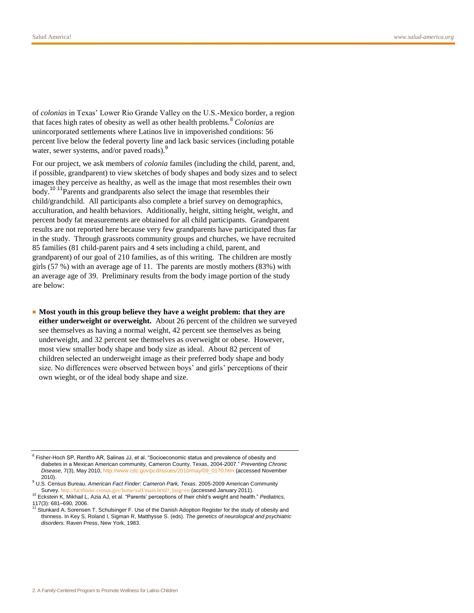of *colonias* in Texas' Lower Rio Grande Valley on the U.S.-Mexico border, a region that faces high rates of obesity as well as other health problems.<sup>8</sup> Colonias are unincorporated settlements where Latinos live in impoverished conditions: 56 percent live below the federal poverty line and lack basic services (including potable water, sewer systems, and/or paved roads).<sup>9</sup>

For our project, we ask members of *colonia* familes (including the child, parent, and, if possible, grandparent) to view sketches of body shapes and body sizes and to select images they perceive as healthy, as well as the image that most resembles their own body.<sup>10 11</sup>Parents and grandparents also select the image that resembles their child/grandchild. All participants also complete a brief survey on demographics, acculturation, and health behaviors. Additionally, height, sitting height, weight, and percent body fat measurements are obtained for all child participants. Grandparent results are not reported here because very few grandparents have participated thus far in the study. Through grassroots community groups and churches, we have recruited 85 families (81 child-parent pairs and 4 sets including a child, parent, and grandparent) of our goal of 210 families, as of this writing. The children are mostly girls (57 %) with an average age of 11. The parents are mostly mothers (83%) with an average age of 39. Preliminary results from the body image portion of the study are below:

■ **Most youth in this group believe they have a weight problem: that they are either underweight or overweight.** About 26 percent of the children we surveyed see themselves as having a normal weight, 42 percent see themselves as being underweight, and 32 percent see themselves as overweight or obese. However, most view smaller body shape and body size as ideal. About 82 percent of children selected an underweight image as their preferred body shape and body size. No differences were observed between boys' and girls' perceptions of their own wieght, or of the ideal body shape and size.

<sup>&</sup>lt;sup>8</sup> Fisher-Hoch SP, Rentfro AR, Salinas JJ, et al. "Socioeconomic status and prevalence of obesity and diabetes in a Mexican American community, Cameron County, Texas, 2004-2007." *Preventing Chronic Disease*, 7(3), May 2010[, http://www.cdc.gov/pcd/issues/2010/may/09\\_0170.htm](http://www.cdc.gov/pcd/issues/2010/may/09_0170.htm) (accessed November 2010).

<sup>9</sup> U.S. Census Bureau. *American Fact Finder: Cameron Park, Texas*. 2005-2009 American Community Survey. [http://factfinder.census.gov/home/saff/main.html?\\_lang=en](http://factfinder.census.gov/home/saff/main.html?_lang=en) (accessed January 2011).

<sup>10</sup> Eckstein K, Mikhail L, Azia AJ, et al. "Parents' perceptions of their child's weight and health." *Pediatrics,* 117(3): 681–690, 2006.

Stunkard A, Sorensen T, Schulsinger F. Use of the Danish Adoption Register for the study of obesity and thinness. In Key S, Roland I, Sigman R, Matthysse S. (eds). *The genetics of neurological and psychiatric disorders.* Raven Press, New York, 1983.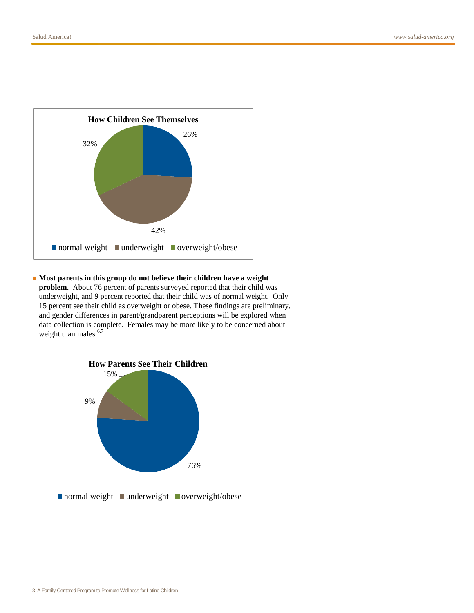

#### ■ **Most parents in this group do not believe their children have a weight**

**problem.** About 76 percent of parents surveyed reported that their child was underweight, and 9 percent reported that their child was of normal weight. Only 15 percent see their child as overweight or obese. These findings are preliminary, and gender differences in parent/grandparent perceptions will be explored when data collection is complete. Females may be more likely to be concerned about weight than males. $6,7$